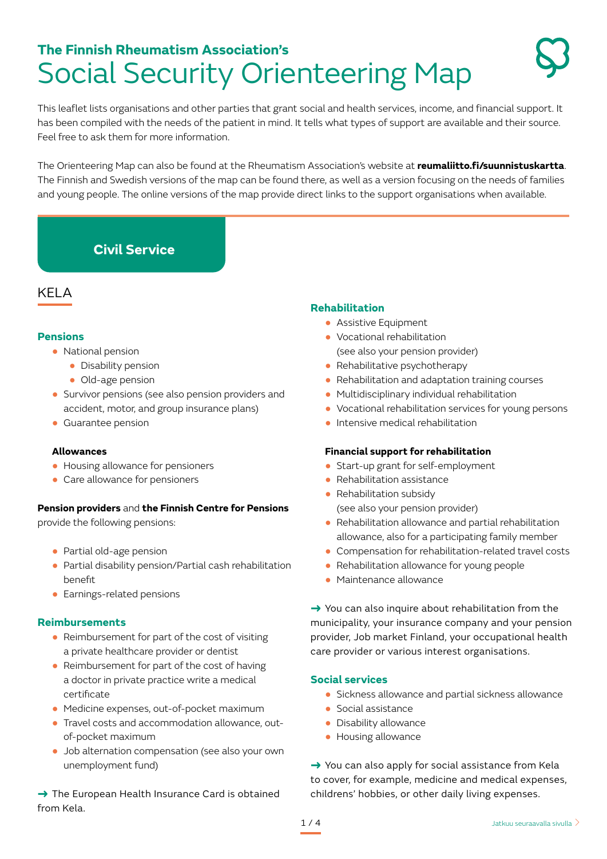# **The Finnish Rheumatism Association's**  Social Security Orienteering Map

This leaflet lists organisations and other parties that grant social and health services, income, and financial support. It has been compiled with the needs of the patient in mind. It tells what types of support are available and their source. Feel free to ask them for more information.

The Orienteering Map can also be found at the Rheumatism Association's website at **reumaliitto.fi/suunnistuskartta**. The Finnish and Swedish versions of the map can be found there, as well as a version focusing on the needs of families and young people. The online versions of the map provide direct links to the support organisations when available.

# **Civil Service**

# KELA

### **Pensions**

- **●** National pension
	- **●** Disability pension
	- **●** Old-age pension
- **●** Survivor pensions (see also pension providers and accident, motor, and group insurance plans)
- **●** Guarantee pension

### **Allowances**

- **●** Housing allowance for pensioners
- **●** Care allowance for pensioners

### **Pension providers** and **the Finnish Centre for Pensions**

provide the following pensions:

- **●** Partial old-age pension
- **●** Partial disability pension/Partial cash rehabilitation benefit
- **●** Earnings-related pensions

### **Reimbursements**

- **●** Reimbursement for part of the cost of visiting a private healthcare provider or dentist
- **●** Reimbursement for part of the cost of having a doctor in private practice write a medical certificate
- **●** Medicine expenses, out-of-pocket maximum
- **●** Travel costs and accommodation allowance, outof-pocket maximum
- **●** Job alternation compensation (see also your own unemployment fund)

→ The European Health Insurance Card is obtained from Kela.

### **Rehabilitation**

- **●** Assistive Equipment
- **●** Vocational rehabilitation (see also your pension provider)
- **●** Rehabilitative psychotherapy
- **●** Rehabilitation and adaptation training courses
- **●** Multidisciplinary individual rehabilitation
- **●** Vocational rehabilitation services for young persons
- **●** Intensive medical rehabilitation

### **Financial support for rehabilitation**

- **●** Start-up grant for self-employment
- **●** Rehabilitation assistance
- **●** Rehabilitation subsidy
	- (see also your pension provider)
- **●** Rehabilitation allowance and partial rehabilitation allowance, also for a participating family member
- **●** Compensation for rehabilitation-related travel costs
- **●** Rehabilitation allowance for young people
- **●** Maintenance allowance

→ You can also inquire about rehabilitation from the municipality, your insurance company and your pension provider, Job market Finland, your occupational health care provider or various interest organisations.

### **Social services**

- **●** Sickness allowance and partial sickness allowance
- **●** Social assistance
- **●** Disability allowance
- **●** Housing allowance

→ You can also apply for social assistance from Kela to cover, for example, medicine and medical expenses, childrens' hobbies, or other daily living expenses.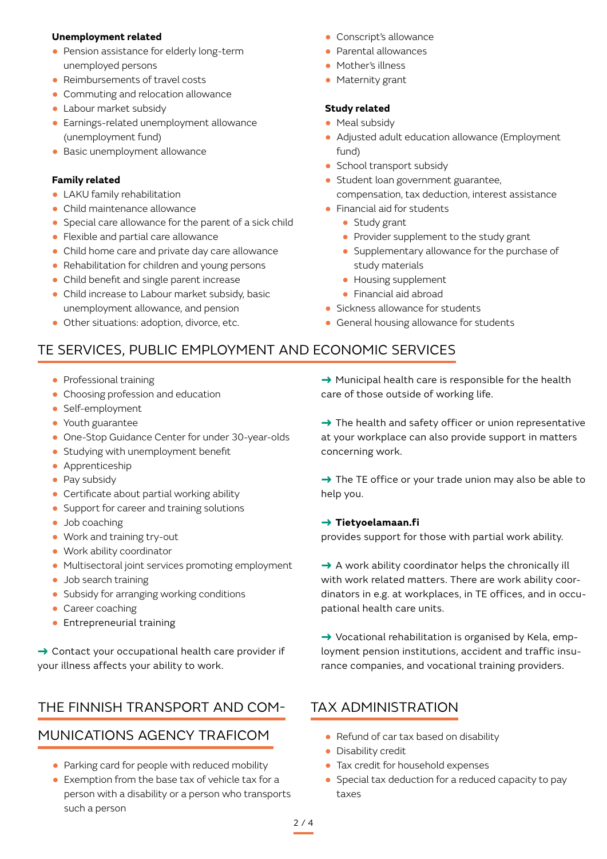### **Unemployment related**

- **●** Pension assistance for elderly long-term unemployed persons
- **●** Reimbursements of travel costs
- **●** Commuting and relocation allowance
- **●** Labour market subsidy
- **●** Earnings-related unemployment allowance (unemployment fund)
- **●** Basic unemployment allowance

#### **Family related**

- **●** LAKU family rehabilitation
- **●** Child maintenance allowance
- **●** Special care allowance for the parent of a sick child
- **●** Flexible and partial care allowance
- **●** Child home care and private day care allowance
- **●** Rehabilitation for children and young persons
- **●** Child benefit and single parent increase
- **●** Child increase to Labour market subsidy, basic unemployment allowance, and pension
- **●** Other situations: adoption, divorce, etc.
- **●** Conscript's allowance
- **●** Parental allowances
- **●** Mother's illness
- **●** Maternity grant

### **Study related**

- **●** Meal subsidy
- **●** Adjusted adult education allowance (Employment fund)
- **●** School transport subsidy
- **●** Student loan government guarantee, compensation, tax deduction, interest assistance
- **●** Financial aid for students
	- **●** Study grant
	- **●** Provider supplement to the study grant
	- **●** Supplementary allowance for the purchase of study materials
	- **●** Housing supplement
	- **●** Financial aid abroad
- **●** Sickness allowance for students
- **●** General housing allowance for students

# TE SERVICES, PUBLIC EMPLOYMENT AND ECONOMIC SERVICES

- **●** Professional training
- **●** Choosing profession and education
- **●** Self-employment
- **●** Youth guarantee
- **●** One-Stop Guidance Center for under 30-year-olds
- **●** Studying with unemployment benefit
- **●** Apprenticeship
- **●** Pay subsidy
- **●** Certificate about partial working ability
- **●** Support for career and training solutions
- **●** Job coaching
- **●** Work and training try-out
- **●** Work ability coordinator
- **●** Multisectoral joint services promoting employment
- **●** Job search training
- **●** Subsidy for arranging working conditions
- **●** Career coaching
- **●** Entrepreneurial training

→ Contact your occupational health care provider if your illness affects your ability to work.

### THE FINNISH TRANSPORT AND COM-

# MUNICATIONS AGENCY TRAFICOM

- **●** Parking card for people with reduced mobility
- **●** Exemption from the base tax of vehicle tax for a person with a disability or a person who transports such a person

→ Municipal health care is responsible for the health care of those outside of working life.

 $\rightarrow$  The health and safety officer or union representative at your workplace can also provide support in matters concerning work.

 $\rightarrow$  The TE office or your trade union may also be able to help you.

#### → **Tietyoelamaan.fi**

provides support for those with partial work ability.

 $\rightarrow$  A work ability coordinator helps the chronically ill with work related matters. There are work ability coordinators in e.g. at workplaces, in TE offices, and in occupational health care units.

 $\rightarrow$  Vocational rehabilitation is organised by Kela, employment pension institutions, accident and traffic insurance companies, and vocational training providers.

# TAX ADMINISTRATION

- **●** Refund of car tax based on disability
- **●** Disability credit
- **●** Tax credit for household expenses
- **●** Special tax deduction for a reduced capacity to pay taxes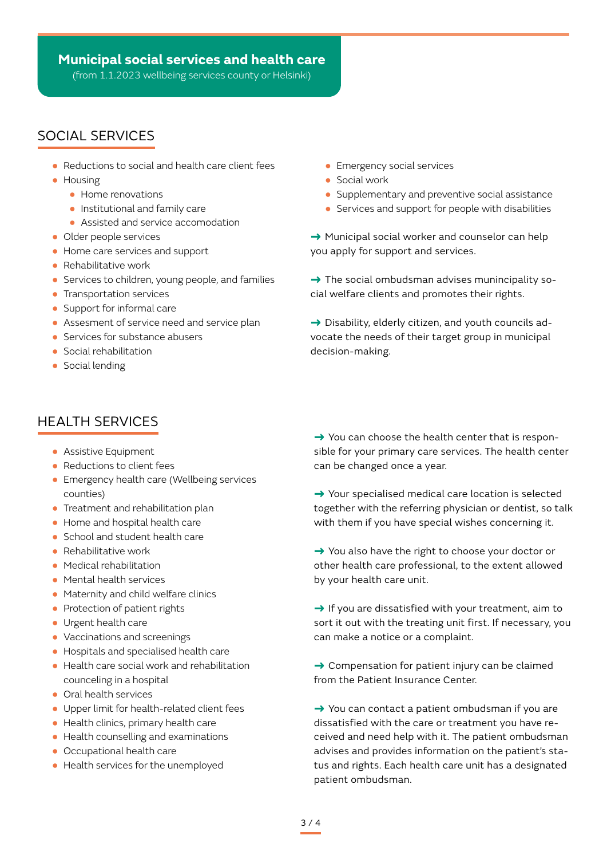(from 1.1.2023 wellbeing services county or Helsinki)

# SOCIAL SERVICES

- **●** Reductions to social and health care client fees
- **●** Housing
	- **●** Home renovations
	- **●** Institutional and family care
	- **●** Assisted and service accomodation
- **●** Older people services
- **●** Home care services and support
- **●** Rehabilitative work
- **●** Services to children, young people, and families
- **●** Transportation services
- **●** Support for informal care
- **●** Assesment of service need and service plan
- **●** Services for substance abusers
- **●** Social rehabilitation
- **●** Social lending

# HEALTH SERVICES

- **●** Assistive Equipment **●** Assistive Equipment
- **●** Reductions to client fees
- **●** Emergency health care (Wellbeing services counties)
- **●** Treatment and rehabilitation plan
- **●** Home and hospital health care
- **●** School and student health care
- **●** Rehabilitative work
- **●** Medical rehabilitation
- **●** Mental health services
- **●** Maternity and child welfare clinics
- **●** Protection of patient rights
- **●** Urgent health care
- **●** Vaccinations and screenings
- **●** Hospitals and specialised health care
- **●** Health care social work and rehabilitation counceling in a hospital
- **●** Oral health services
- **●** Upper limit for health-related client fees
- **●** Health clinics, primary health care
- **●** Health counselling and examinations
- **●** Occupational health care
- **●** Health services for the unemployed
- **●** Emergency social services
- **●** Social work
- **●** Supplementary and preventive social assistance
- **●** Services and support for people with disabilities

→ Municipal social worker and counselor can help you apply for support and services.

 $\rightarrow$  The social ombudsman advises munincipality social welfare clients and promotes their rights.

 $\rightarrow$  Disability, elderly citizen, and youth councils advocate the needs of their target group in municipal decision-making.

 $\rightarrow$  You can choose the health center that is responsible for your primary care services. The health center can be changed once a year.

→ Your specialised medical care location is selected together with the referring physician or dentist, so talk with them if you have special wishes concerning it.

→ You also have the right to choose your doctor or other health care professional, to the extent allowed by your health care unit.

 $\rightarrow$  If you are dissatisfied with your treatment, aim to sort it out with the treating unit first. If necessary, you can make a notice or a complaint.

→ Compensation for patient injury can be claimed from the Patient Insurance Center.

→ You can contact a patient ombudsman if you are dissatisfied with the care or treatment you have received and need help with it. The patient ombudsman advises and provides information on the patient's status and rights. Each health care unit has a designated patient ombudsman.